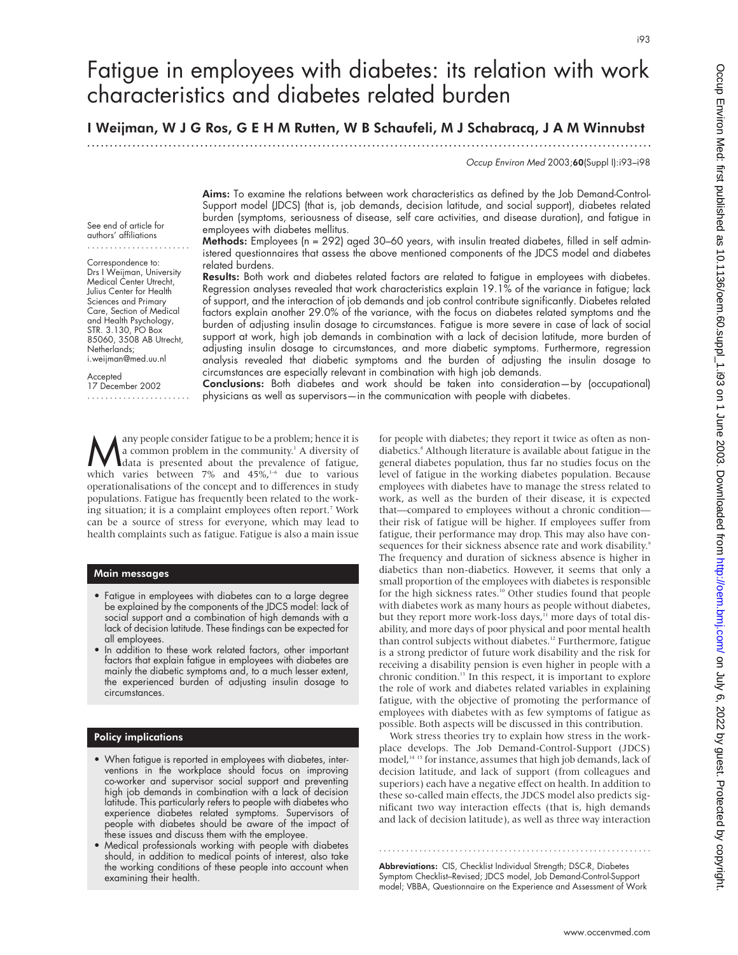# Fatigue in employees with diabetes: its relation with work characteristics and diabetes related burden

# I Weijman, W J G Ros, G E H M Rutten, W B Schaufeli, M J Schabracq, J A M Winnubst

# .............................................................................................................................

Occup Environ Med 2003;60(Suppl I):i93–i98

Aims: To examine the relations between work characteristics as defined by the Job Demand-Control-Support model (JDCS) (that is, job demands, decision latitude, and social support), diabetes related burden (symptoms, seriousness of disease, self care activities, and disease duration), and fatigue in employees with diabetes mellitus.

Methods: Employees (n = 292) aged 30–60 years, with insulin treated diabetes, filled in self administered questionnaires that assess the above mentioned components of the JDCS model and diabetes related burdens.

Results: Both work and diabetes related factors are related to fatigue in employees with diabetes. Regression analyses revealed that work characteristics explain 19.1% of the variance in fatigue; lack of support, and the interaction of job demands and job control contribute significantly. Diabetes related factors explain another 29.0% of the variance, with the focus on diabetes related symptoms and the burden of adjusting insulin dosage to circumstances. Fatigue is more severe in case of lack of social support at work, high job demands in combination with a lack of decision latitude, more burden of adjusting insulin dosage to circumstances, and more diabetic symptoms. Furthermore, regression analysis revealed that diabetic symptoms and the burden of adjusting the insulin dosage to circumstances are especially relevant in combination with high job demands.

Conclusions: Both diabetes and work should be taken into consideration—by (occupational) physicians as well as supervisors—in the communication with people with diabetes.

 $\sum$  any people consider fatigue to be a problem; hence it is<br>data is presented about the prevalence of fatigue,<br>which varies between  $7\%$  and  $45\%$  <sup>156</sup> due to various a common problem in the community.<sup>1</sup> A diversity of which varies between  $7\%$  and  $45\%$ ,<sup>1-6</sup> due to various operationalisations of the concept and to differences in study populations. Fatigue has frequently been related to the working situation; it is a complaint employees often report.7 Work can be a source of stress for everyone, which may lead to health complaints such as fatigue. Fatigue is also a main issue

## Main messages

- Fatigue in employees with diabetes can to a large degree be explained by the components of the JDCS model: lack of social support and a combination of high demands with a lack of decision latitude. These findings can be expected for all employees.
- In addition to these work related factors, other important factors that explain fatigue in employees with diabetes are mainly the diabetic symptoms and, to a much lesser extent, the experienced burden of adjusting insulin dosage to circumstances.

## Policy implications

- When fatigue is reported in employees with diabetes, interventions in the workplace should focus on improving co-worker and supervisor social support and preventing high job demands in combination with a lack of decision latitude. This particularly refers to people with diabetes who experience diabetes related symptoms. Supervisors of people with diabetes should be aware of the impact of these issues and discuss them with the employee.
- Medical professionals working with people with diabetes should, in addition to medical points of interest, also take the working conditions of these people into account when examining their health.

for people with diabetes; they report it twice as often as nondiabetics.<sup>8</sup> Although literature is available about fatigue in the general diabetes population, thus far no studies focus on the level of fatigue in the working diabetes population. Because employees with diabetes have to manage the stress related to work, as well as the burden of their disease, it is expected that—compared to employees without a chronic condition their risk of fatigue will be higher. If employees suffer from fatigue, their performance may drop. This may also have consequences for their sickness absence rate and work disability.<sup>9</sup> The frequency and duration of sickness absence is higher in diabetics than non-diabetics. However, it seems that only a small proportion of the employees with diabetes is responsible for the high sickness rates.<sup>10</sup> Other studies found that people with diabetes work as many hours as people without diabetes, but they report more work-loss days,<sup>11</sup> more days of total disability, and more days of poor physical and poor mental health than control subjects without diabetes.<sup>12</sup> Furthermore, fatigue is a strong predictor of future work disability and the risk for receiving a disability pension is even higher in people with a chronic condition.13 In this respect, it is important to explore the role of work and diabetes related variables in explaining fatigue, with the objective of promoting the performance of employees with diabetes with as few symptoms of fatigue as possible. Both aspects will be discussed in this contribution.

Work stress theories try to explain how stress in the workplace develops. The Job Demand-Control-Support (JDCS) model,<sup>14 15</sup> for instance, assumes that high job demands, lack of decision latitude, and lack of support (from colleagues and superiors) each have a negative effect on health. In addition to these so-called main effects, the JDCS model also predicts significant two way interaction effects (that is, high demands and lack of decision latitude), as well as three way interaction

Abbreviations: CIS, Checklist Individual Strength; DSC-R, Diabetes Symptom Checklist–Revised; JDCS model, Job Demand-Control-Support model; VBBA, Questionnaire on the Experience and Assessment of Work

.............................................................

Correspondence to: Drs I Weijman, University Medical Center Utrecht, Julius Center for Health Sciences and Primary Care, Section of Medical and Health Psychology, STR. 3.130, PO Box 85060, 3508 AB Utrecht, Netherlands; i.weijman@med.uu.nl

See end of article for authors' affiliations

Accepted 17 December 2002 .......................



Occup Environ Med: first published as 10.1136/oem.60.suppl\_1.i93 on 1 June 2003. Downloaded from http://oem.bmj.com/ on July 6, 2022 by guest. Protected by copyright On July 6, 2022 by guest. Protected by GNS by 2022 by comparing the DNS on 1 Dustand trop. Http://oem.buright. Published as 10.11360. Http://oem.60.suppl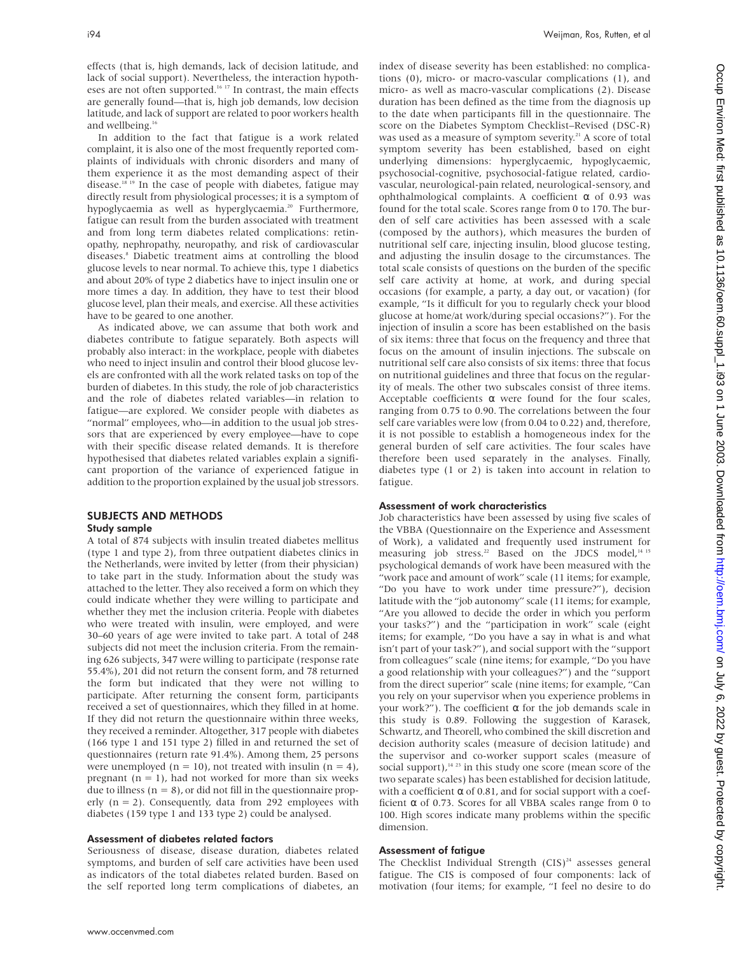effects (that is, high demands, lack of decision latitude, and lack of social support). Nevertheless, the interaction hypotheses are not often supported.<sup>16 17</sup> In contrast, the main effects are generally found—that is, high job demands, low decision latitude, and lack of support are related to poor workers health and wellbeing.<sup>16</sup>

In addition to the fact that fatigue is a work related complaint, it is also one of the most frequently reported complaints of individuals with chronic disorders and many of them experience it as the most demanding aspect of their disease.<sup>18 19</sup> In the case of people with diabetes, fatigue may directly result from physiological processes; it is a symptom of hypoglycaemia as well as hyperglycaemia.<sup>20</sup> Furthermore, fatigue can result from the burden associated with treatment and from long term diabetes related complications: retinopathy, nephropathy, neuropathy, and risk of cardiovascular diseases.8 Diabetic treatment aims at controlling the blood glucose levels to near normal. To achieve this, type 1 diabetics and about 20% of type 2 diabetics have to inject insulin one or more times a day. In addition, they have to test their blood glucose level, plan their meals, and exercise. All these activities have to be geared to one another.

As indicated above, we can assume that both work and diabetes contribute to fatigue separately. Both aspects will probably also interact: in the workplace, people with diabetes who need to inject insulin and control their blood glucose levels are confronted with all the work related tasks on top of the burden of diabetes. In this study, the role of job characteristics and the role of diabetes related variables—in relation to fatigue—are explored. We consider people with diabetes as "normal" employees, who—in addition to the usual job stressors that are experienced by every employee—have to cope with their specific disease related demands. It is therefore hypothesised that diabetes related variables explain a significant proportion of the variance of experienced fatigue in addition to the proportion explained by the usual job stressors.

## SUBJECTS AND METHODS Study sample

A total of 874 subjects with insulin treated diabetes mellitus (type 1 and type 2), from three outpatient diabetes clinics in the Netherlands, were invited by letter (from their physician) to take part in the study. Information about the study was attached to the letter. They also received a form on which they could indicate whether they were willing to participate and whether they met the inclusion criteria. People with diabetes who were treated with insulin, were employed, and were 30–60 years of age were invited to take part. A total of 248 subjects did not meet the inclusion criteria. From the remaining 626 subjects, 347 were willing to participate (response rate 55.4%), 201 did not return the consent form, and 78 returned the form but indicated that they were not willing to participate. After returning the consent form, participants received a set of questionnaires, which they filled in at home. If they did not return the questionnaire within three weeks, they received a reminder. Altogether, 317 people with diabetes (166 type 1 and 151 type 2) filled in and returned the set of questionnaires (return rate 91.4%). Among them, 25 persons were unemployed ( $n = 10$ ), not treated with insulin ( $n = 4$ ), pregnant  $(n = 1)$ , had not worked for more than six weeks due to illness ( $n = 8$ ), or did not fill in the questionnaire properly  $(n = 2)$ . Consequently, data from 292 employees with diabetes (159 type 1 and 133 type 2) could be analysed.

#### Assessment of diabetes related factors

Seriousness of disease, disease duration, diabetes related symptoms, and burden of self care activities have been used as indicators of the total diabetes related burden. Based on the self reported long term complications of diabetes, an index of disease severity has been established: no complications (0), micro- or macro-vascular complications (1), and micro- as well as macro-vascular complications (2). Disease duration has been defined as the time from the diagnosis up to the date when participants fill in the questionnaire. The score on the Diabetes Symptom Checklist–Revised (DSC-R) was used as a measure of symptom severity.<sup>21</sup> A score of total symptom severity has been established, based on eight underlying dimensions: hyperglycaemic, hypoglycaemic, psychosocial-cognitive, psychosocial-fatigue related, cardiovascular, neurological-pain related, neurological-sensory, and ophthalmological complaints. A coefficient α of 0.93 was found for the total scale. Scores range from 0 to 170. The burden of self care activities has been assessed with a scale (composed by the authors), which measures the burden of nutritional self care, injecting insulin, blood glucose testing, and adjusting the insulin dosage to the circumstances. The total scale consists of questions on the burden of the specific self care activity at home, at work, and during special occasions (for example, a party, a day out, or vacation) (for example, "Is it difficult for you to regularly check your blood glucose at home/at work/during special occasions?"). For the injection of insulin a score has been established on the basis of six items: three that focus on the frequency and three that focus on the amount of insulin injections. The subscale on nutritional self care also consists of six items: three that focus on nutritional guidelines and three that focus on the regularity of meals. The other two subscales consist of three items. Acceptable coefficients  $\alpha$  were found for the four scales, ranging from 0.75 to 0.90. The correlations between the four self care variables were low (from 0.04 to 0.22) and, therefore, it is not possible to establish a homogeneous index for the general burden of self care activities. The four scales have therefore been used separately in the analyses. Finally, diabetes type (1 or 2) is taken into account in relation to fatigue.

#### Assessment of work characteristics

Job characteristics have been assessed by using five scales of the VBBA (Questionnaire on the Experience and Assessment of Work), a validated and frequently used instrument for measuring job stress.<sup>22</sup> Based on the JDCS model, $14$  15 psychological demands of work have been measured with the "work pace and amount of work" scale (11 items; for example, "Do you have to work under time pressure?"), decision latitude with the "job autonomy" scale (11 items; for example, "Are you allowed to decide the order in which you perform your tasks?") and the "participation in work" scale (eight items; for example, "Do you have a say in what is and what isn't part of your task?"), and social support with the "support from colleagues" scale (nine items; for example, "Do you have a good relationship with your colleagues?") and the "support from the direct superior" scale (nine items; for example, "Can you rely on your supervisor when you experience problems in your work?"). The coefficient  $α$  for the job demands scale in this study is 0.89. Following the suggestion of Karasek, Schwartz, and Theorell, who combined the skill discretion and decision authority scales (measure of decision latitude) and the supervisor and co-worker support scales (measure of social support), $14 \times 23$  in this study one score (mean score of the two separate scales) has been established for decision latitude, with a coefficient  $\alpha$  of 0.81, and for social support with a coefficient α of 0.73. Scores for all VBBA scales range from 0 to 100. High scores indicate many problems within the specific dimension.

#### Assessment of fatigue

The Checklist Individual Strength  $(CIS)^{24}$  assesses general fatigue. The CIS is composed of four components: lack of motivation (four items; for example, "I feel no desire to do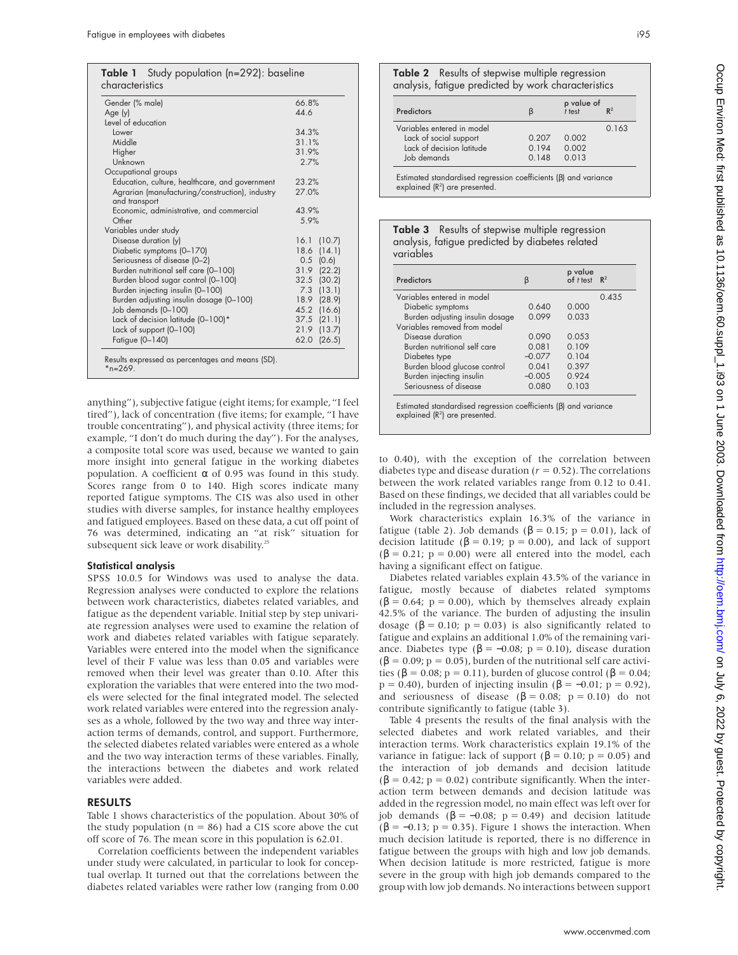**Table 1** Study population (n=292): baseline characteristics

| Gender (% male)                                                  | 66.8%           |  |
|------------------------------------------------------------------|-----------------|--|
| Age (y)                                                          | 44.6            |  |
| Level of education                                               |                 |  |
| Lower                                                            | 34.3%           |  |
| Middle                                                           | 31.1%           |  |
| Higher                                                           | 31.9%           |  |
| Unknown                                                          | 2.7%            |  |
| Occupational groups                                              |                 |  |
| Education, culture, healthcare, and government                   | 23.2%           |  |
| Agrarian (manufacturing/construction), industry<br>and transport | 27.0%           |  |
| Economic, administrative, and commercial                         | 43.9%           |  |
| Other                                                            | 5.9%            |  |
| Variables under study                                            |                 |  |
| Disease duration (y)                                             | 16.1<br>(10.7)  |  |
| Diabetic symptoms (0-170)                                        | $18.6$ $(14.1)$ |  |
| Seriousness of disease (0-2)                                     | $0.5$ (0.6)     |  |
| Burden nutritional self care (0-100)                             | 31.9 (22.2)     |  |
| Burden blood sugar control (0-100)                               | 32.5 (30.2)     |  |
| Burden injecting insulin (0-100)                                 | 7.3<br>(13.1)   |  |
| Burden adjusting insulin dosage (0-100)                          | (28.9)<br>18.9  |  |
| Job demands (0-100)                                              | 45.2<br>(16.6)  |  |
| Lack of decision latitude (0-100)*                               | 37.5<br>(21.1)  |  |
| Lack of support (0-100)                                          | 21.9 (13.7)     |  |
| Fatigue (0-140)                                                  | 62.0<br>(26.5)  |  |

 $*_{n=269}$ .

anything"), subjective fatigue (eight items; for example, "I feel tired"), lack of concentration (five items; for example, "I have trouble concentrating"), and physical activity (three items; for example, "I don't do much during the day"). For the analyses, a composite total score was used, because we wanted to gain more insight into general fatigue in the working diabetes population. A coefficient α of 0.95 was found in this study. Scores range from 0 to 140. High scores indicate many reported fatigue symptoms. The CIS was also used in other studies with diverse samples, for instance healthy employees and fatigued employees. Based on these data, a cut off point of 76 was determined, indicating an "at risk" situation for subsequent sick leave or work disability.<sup>25</sup>

#### Statistical analysis

SPSS 10.0.5 for Windows was used to analyse the data. Regression analyses were conducted to explore the relations between work characteristics, diabetes related variables, and fatigue as the dependent variable. Initial step by step univariate regression analyses were used to examine the relation of work and diabetes related variables with fatigue separately. Variables were entered into the model when the significance level of their F value was less than 0.05 and variables were removed when their level was greater than 0.10. After this exploration the variables that were entered into the two models were selected for the final integrated model. The selected work related variables were entered into the regression analyses as a whole, followed by the two way and three way interaction terms of demands, control, and support. Furthermore, the selected diabetes related variables were entered as a whole and the two way interaction terms of these variables. Finally, the interactions between the diabetes and work related variables were added.

# RESULTS

Table 1 shows characteristics of the population. About 30% of the study population ( $n = 86$ ) had a CIS score above the cut off score of 76. The mean score in this population is 62.01.

Correlation coefficients between the independent variables under study were calculated, in particular to look for conceptual overlap. It turned out that the correlations between the diabetes related variables were rather low (ranging from 0.00

| ×,<br><b>COMPANY</b><br>×<br>٠<br>۰.<br>۰,<br>u.<br>$\sim$ |
|------------------------------------------------------------|
|------------------------------------------------------------|

| <b>Table 2</b> Results of stepwise multiple regression<br>analysis, fatigue predicted by work characteristics |       |                                  |                |
|---------------------------------------------------------------------------------------------------------------|-------|----------------------------------|----------------|
| <b>Predictors</b>                                                                                             |       | p value of<br>$\frac{1}{t}$ test | R <sup>2</sup> |
| Variables entered in model                                                                                    |       |                                  | 0.163          |
| Lack of social support                                                                                        | 0.207 | 0.002                            |                |
| Lack of decision latitude                                                                                     | 0.194 | 0.002                            |                |
| Job demands                                                                                                   | 0.148 | 0.013                            |                |

Estimated standardised regression coefficients (β) and variance explained  $(R^2)$  are presented.

|           | <b>Table 3</b> Results of stepwise multiple regression |
|-----------|--------------------------------------------------------|
|           | analysis, fatigue predicted by diabetes related        |
| variables |                                                        |

| Predictors                                                            | β        | p value<br>$\frac{1}{2}$ of thest | $\mathbb{R}^2$ |  |
|-----------------------------------------------------------------------|----------|-----------------------------------|----------------|--|
| Variables entered in model                                            |          |                                   | 0.435          |  |
| Diabetic symptoms                                                     | 0.640    | 0.000                             |                |  |
| Burden adjusting insulin dosage                                       | 0.099    | 0.033                             |                |  |
| Variables removed from model                                          |          |                                   |                |  |
| Disease duration                                                      | 0.090    | 0.053                             |                |  |
| Burden nutritional self care                                          | 0.081    | 0.109                             |                |  |
| Diabetes type                                                         | $-0.077$ | 0.104                             |                |  |
| Burden blood glucose control                                          | 0.041    | 0.397                             |                |  |
| Burden injecting insulin                                              | $-0.005$ | 0.924                             |                |  |
| Seriousness of disease                                                | 0.080    | 0.103                             |                |  |
| Estimated standardised regression coefficients $(\beta)$ and variance |          |                                   |                |  |

to 0.40), with the exception of the correlation between diabetes type and disease duration  $(r = 0.52)$ . The correlations between the work related variables range from 0.12 to 0.41. Based on these findings, we decided that all variables could be included in the regression analyses.

explained  $(R^2)$  are presented.

Work characteristics explain 16.3% of the variance in fatigue (table 2). Job demands ( $β = 0.15$ ;  $p = 0.01$ ), lack of decision latitude ( $\beta = 0.19$ ; p = 0.00), and lack of support  $(\beta = 0.21; p = 0.00)$  were all entered into the model, each having a significant effect on fatigue.

Diabetes related variables explain 43.5% of the variance in fatigue, mostly because of diabetes related symptoms  $(\beta = 0.64; p = 0.00)$ , which by themselves already explain 42.5% of the variance. The burden of adjusting the insulin dosage ( $\beta = 0.10$ ; p = 0.03) is also significantly related to fatigue and explains an additional 1.0% of the remaining variance. Diabetes type ( $\beta = -0.08$ ; p = 0.10), disease duration  $(\beta = 0.09; p = 0.05)$ , burden of the nutritional self care activities (β = 0.08; p = 0.11), burden of glucose control (β = 0.04;  $p = 0.40$ , burden of injecting insulin ( $\beta = -0.01$ ;  $p = 0.92$ ), and seriousness of disease ( $\beta = 0.08$ ; p = 0.10) do not contribute significantly to fatigue (table 3).

Table 4 presents the results of the final analysis with the selected diabetes and work related variables, and their interaction terms. Work characteristics explain 19.1% of the variance in fatigue: lack of support ( $β = 0.10$ ;  $p = 0.05$ ) and the interaction of job demands and decision latitude  $(\beta = 0.42; p = 0.02)$  contribute significantly. When the interaction term between demands and decision latitude was added in the regression model, no main effect was left over for job demands (β = −0.08; p = 0.49) and decision latitude  $(\beta = -0.13; p = 0.35)$ . Figure 1 shows the interaction. When much decision latitude is reported, there is no difference in fatigue between the groups with high and low job demands. When decision latitude is more restricted, fatigue is more severe in the group with high job demands compared to the group with low job demands. No interactions between support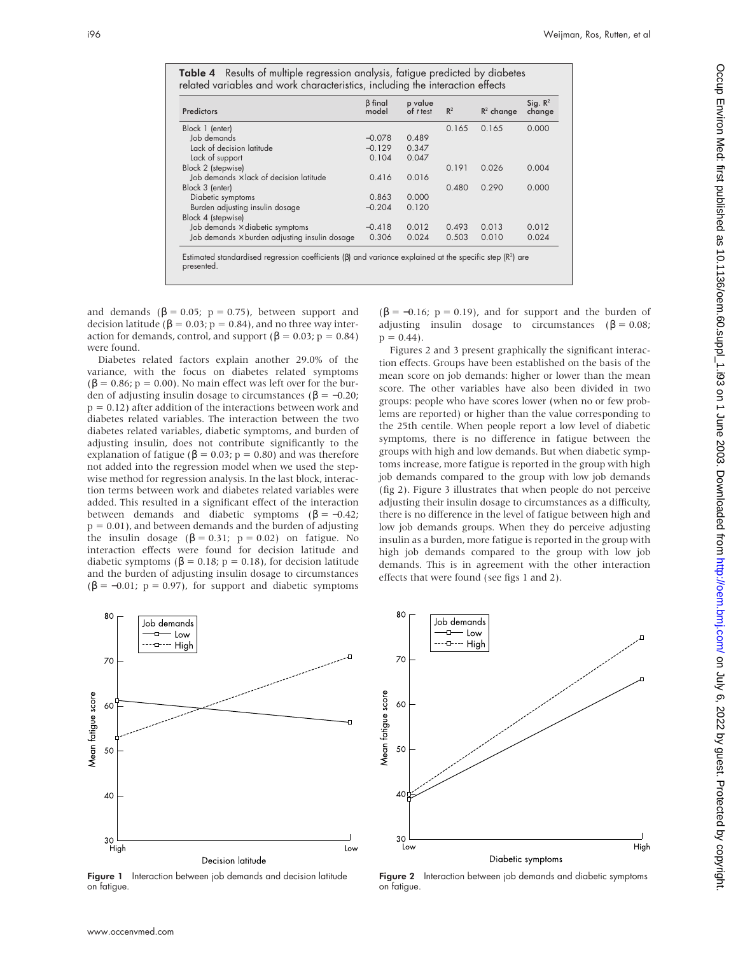Table 4 Results of multiple regression analysis, fatigue predicted by diabetes related variables and work characteristics, including the interaction effects

| Predictors                                           | $\beta$ final<br>model | p value<br>of <i>t</i> test | $R^2$ | $R^2$ change | Sig. $R^2$<br>change |
|------------------------------------------------------|------------------------|-----------------------------|-------|--------------|----------------------|
| Block 1 (enter)                                      |                        |                             | 0.165 | 0.165        | 0.000                |
| Job demands                                          | $-0.078$               | 0.489                       |       |              |                      |
| Lack of decision latitude                            | $-0.129$               | 0.347                       |       |              |                      |
| Lack of support                                      | 0.104                  | 0.047                       |       |              |                      |
| Block 2 (stepwise)                                   |                        |                             | 0.191 | 0.026        | 0.004                |
| Job demands $\times$ lack of decision latitude       | 0.416                  | 0.016                       |       |              |                      |
| Block 3 (enter)                                      |                        |                             | 0.480 | 0.290        | 0.000                |
| Diabetic symptoms                                    | 0.863                  | 0.000                       |       |              |                      |
| Burden adjusting insulin dosage                      | $-0.204$               | 0.120                       |       |              |                      |
| Block 4 (stepwise)                                   |                        |                             |       |              |                      |
| Job demands $\times$ diabetic symptoms               | $-0.418$               | 0.012                       | 0.493 | 0.013        | 0.012                |
| Job demands $\times$ burden adjusting insulin dosage | 0.306                  | 0.024                       | 0.503 | 0.010        | 0.024                |

 $p = 0.44$ ).

presented.

and demands ( $\beta = 0.05$ ; p = 0.75), between support and decision latitude ( $\beta = 0.03$ ;  $p = 0.84$ ), and no three way interaction for demands, control, and support ( $\beta = 0.03$ ; p = 0.84) were found.

Diabetes related factors explain another 29.0% of the variance, with the focus on diabetes related symptoms  $(\beta = 0.86; p = 0.00)$ . No main effect was left over for the burden of adjusting insulin dosage to circumstances ( $\beta = -0.20$ ;  $p = 0.12$ ) after addition of the interactions between work and diabetes related variables. The interaction between the two diabetes related variables, diabetic symptoms, and burden of adjusting insulin, does not contribute significantly to the explanation of fatigue ( $\beta = 0.03$ ; p = 0.80) and was therefore not added into the regression model when we used the stepwise method for regression analysis. In the last block, interaction terms between work and diabetes related variables were added. This resulted in a significant effect of the interaction between demands and diabetic symptoms ( $\beta = -0.42$ ;  $p = 0.01$ ), and between demands and the burden of adjusting the insulin dosage ( $\beta = 0.31$ ; p = 0.02) on fatigue. No interaction effects were found for decision latitude and diabetic symptoms ( $\beta = 0.18$ ; p = 0.18), for decision latitude and the burden of adjusting insulin dosage to circumstances  $(\beta = -0.01; p = 0.97)$ , for support and diabetic symptoms



Figure 1 Interaction between job demands and decision latitude on fatigue.

80 Job demands —□— Low ------ High 70 Mean fatigue score 60  $5<sub>C</sub>$  $\Delta$ <sup>O</sup> 30 Ľow High Diabetic symptoms

effects that were found (see figs 1 and 2).

( $\beta$  = -0.16; p = 0.19), and for support and the burden of adjusting insulin dosage to circumstances  $(\beta = 0.08)$ ;

Figures 2 and 3 present graphically the significant interaction effects. Groups have been established on the basis of the mean score on job demands: higher or lower than the mean score. The other variables have also been divided in two groups: people who have scores lower (when no or few problems are reported) or higher than the value corresponding to the 25th centile. When people report a low level of diabetic symptoms, there is no difference in fatigue between the groups with high and low demands. But when diabetic symptoms increase, more fatigue is reported in the group with high job demands compared to the group with low job demands (fig 2). Figure 3 illustrates that when people do not perceive adjusting their insulin dosage to circumstances as a difficulty, there is no difference in the level of fatigue between high and low job demands groups. When they do perceive adjusting insulin as a burden, more fatigue is reported in the group with high job demands compared to the group with low job demands. This is in agreement with the other interaction

Figure 2 Interaction between job demands and diabetic symptoms on fatigue.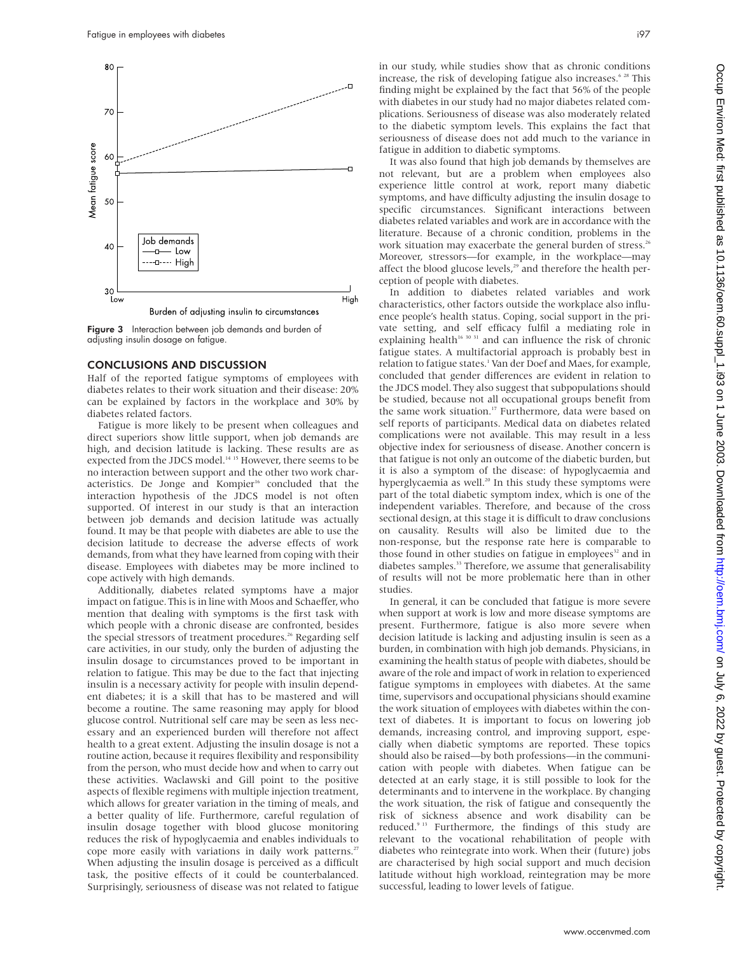

Figure 3 Interaction between job demands and burden of adjusting insulin dosage on fatigue.

#### CONCLUSIONS AND DISCUSSION

Half of the reported fatigue symptoms of employees with diabetes relates to their work situation and their disease: 20% can be explained by factors in the workplace and 30% by diabetes related factors.

Fatigue is more likely to be present when colleagues and direct superiors show little support, when job demands are high, and decision latitude is lacking. These results are as expected from the JDCS model.<sup>14-15</sup> However, there seems to be no interaction between support and the other two work characteristics. De Jonge and Kompier<sup>16</sup> concluded that the interaction hypothesis of the JDCS model is not often supported. Of interest in our study is that an interaction between job demands and decision latitude was actually found. It may be that people with diabetes are able to use the decision latitude to decrease the adverse effects of work demands, from what they have learned from coping with their disease. Employees with diabetes may be more inclined to cope actively with high demands.

Additionally, diabetes related symptoms have a major impact on fatigue. This is in line with Moos and Schaeffer, who mention that dealing with symptoms is the first task with which people with a chronic disease are confronted, besides the special stressors of treatment procedures.<sup>26</sup> Regarding self care activities, in our study, only the burden of adjusting the insulin dosage to circumstances proved to be important in relation to fatigue. This may be due to the fact that injecting insulin is a necessary activity for people with insulin dependent diabetes; it is a skill that has to be mastered and will become a routine. The same reasoning may apply for blood glucose control. Nutritional self care may be seen as less necessary and an experienced burden will therefore not affect health to a great extent. Adjusting the insulin dosage is not a routine action, because it requires flexibility and responsibility from the person, who must decide how and when to carry out these activities. Waclawski and Gill point to the positive aspects of flexible regimens with multiple injection treatment, which allows for greater variation in the timing of meals, and a better quality of life. Furthermore, careful regulation of insulin dosage together with blood glucose monitoring reduces the risk of hypoglycaemia and enables individuals to cope more easily with variations in daily work patterns.<sup>27</sup> When adjusting the insulin dosage is perceived as a difficult task, the positive effects of it could be counterbalanced. Surprisingly, seriousness of disease was not related to fatigue

It was also found that high job demands by themselves are not relevant, but are a problem when employees also experience little control at work, report many diabetic symptoms, and have difficulty adjusting the insulin dosage to specific circumstances. Significant interactions between diabetes related variables and work are in accordance with the literature. Because of a chronic condition, problems in the work situation may exacerbate the general burden of stress.<sup>26</sup> Moreover, stressors—for example, in the workplace—may affect the blood glucose levels,<sup>29</sup> and therefore the health perception of people with diabetes.

In addition to diabetes related variables and work characteristics, other factors outside the workplace also influence people's health status. Coping, social support in the private setting, and self efficacy fulfil a mediating role in explaining health<sup>16 30 31</sup> and can influence the risk of chronic fatigue states. A multifactorial approach is probably best in relation to fatigue states.<sup>1</sup> Van der Doef and Maes, for example, concluded that gender differences are evident in relation to the JDCS model. They also suggest that subpopulations should be studied, because not all occupational groups benefit from the same work situation.<sup>17</sup> Furthermore, data were based on self reports of participants. Medical data on diabetes related complications were not available. This may result in a less objective index for seriousness of disease. Another concern is that fatigue is not only an outcome of the diabetic burden, but it is also a symptom of the disease: of hypoglycaemia and hyperglycaemia as well.<sup>20</sup> In this study these symptoms were part of the total diabetic symptom index, which is one of the independent variables. Therefore, and because of the cross sectional design, at this stage it is difficult to draw conclusions on causality. Results will also be limited due to the non-response, but the response rate here is comparable to those found in other studies on fatigue in employees<sup>32</sup> and in diabetes samples.<sup>33</sup> Therefore, we assume that generalisability of results will not be more problematic here than in other studies.

In general, it can be concluded that fatigue is more severe when support at work is low and more disease symptoms are present. Furthermore, fatigue is also more severe when decision latitude is lacking and adjusting insulin is seen as a burden, in combination with high job demands. Physicians, in examining the health status of people with diabetes, should be aware of the role and impact of work in relation to experienced fatigue symptoms in employees with diabetes. At the same time, supervisors and occupational physicians should examine the work situation of employees with diabetes within the context of diabetes. It is important to focus on lowering job demands, increasing control, and improving support, especially when diabetic symptoms are reported. These topics should also be raised—by both professions—in the communication with people with diabetes. When fatigue can be detected at an early stage, it is still possible to look for the determinants and to intervene in the workplace. By changing the work situation, the risk of fatigue and consequently the risk of sickness absence and work disability can be reduced.9 13 Furthermore, the findings of this study are relevant to the vocational rehabilitation of people with diabetes who reintegrate into work. When their (future) jobs are characterised by high social support and much decision latitude without high workload, reintegration may be more successful, leading to lower levels of fatigue.